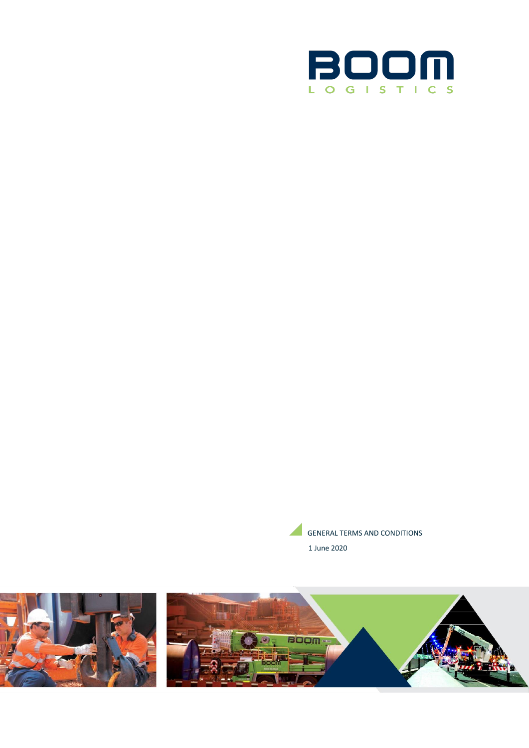



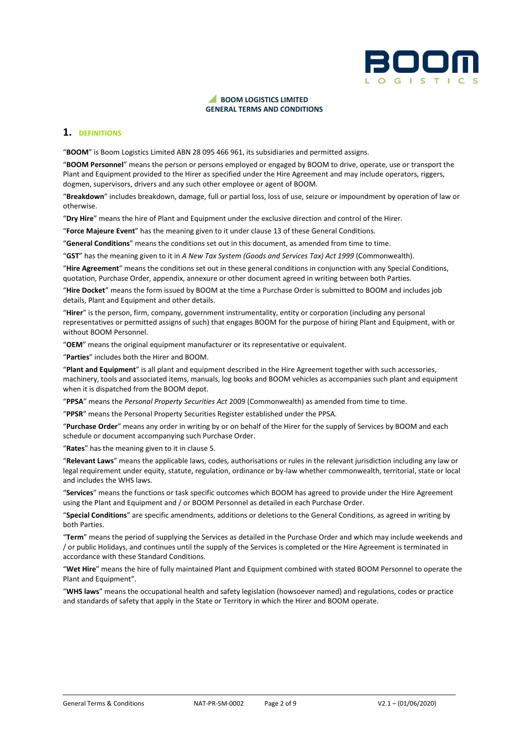

### **BOOM LOGISTICS LIMITED GENERAL TERMS AND CONDITIONS**

## **1. DEFINITIONS**

"**BOOM**" is Boom Logistics Limited ABN 28 095 466 961, its subsidiaries and permitted assigns.

"**BOOM Personnel**" means the person or persons employed or engaged by BOOM to drive, operate, use or transport the Plant and Equipment provided to the Hirer as specified under the Hire Agreement and may include operators, riggers, dogmen, supervisors, drivers and any such other employee or agent of BOOM.

"**Breakdown**" includes breakdown, damage, full or partial loss, loss of use, seizure or impoundment by operation of law or otherwise.

"**Dry Hire**" means the hire of Plant and Equipment under the exclusive direction and control of the Hirer.

"**Force Majeure Event**" has the meaning given to it under clause 13 of these General Conditions.

"**General Conditions**" means the conditions set out in this document, as amended from time to time.

"**GST**" has the meaning given to it in *A New Tax System (Goods and Services Tax) Act 1999* (Commonwealth).

"**Hire Agreement**" means the conditions set out in these general conditions in conjunction with any Special Conditions, quotation, Purchase Order, appendix, annexure or other document agreed in writing between both Parties.

"**Hire Docket**" means the form issued by BOOM at the time a Purchase Order is submitted to BOOM and includes job details, Plant and Equipment and other details.

"**Hirer**" is the person, firm, company, government instrumentality, entity or corporation (including any personal representatives or permitted assigns of such) that engages BOOM for the purpose of hiring Plant and Equipment, with or without BOOM Personnel.

"**OEM**" means the original equipment manufacturer or its representative or equivalent.

"**Parties**" includes both the Hirer and BOOM.

"**Plant and Equipment**" is all plant and equipment described in the Hire Agreement together with such accessories, machinery, tools and associated items, manuals, log books and BOOM vehicles as accompanies such plant and equipment when it is dispatched from the BOOM depot.

"**PPSA**" means the *Personal Property Securities Act* 2009 (Commonwealth) as amended from time to time.

"**PPSR**" means the Personal Property Securities Register established under the PPSA.

"**Purchase Order**" means any order in writing by or on behalf of the Hirer for the supply of Services by BOOM and each schedule or document accompanying such Purchase Order.

"**Rates**" has the meaning given to it in clause 5.

"**Relevant Laws**" means the applicable laws, codes, authorisations or rules in the relevant jurisdiction including any law or legal requirement under equity, statute, regulation, ordinance or by-law whether commonwealth, territorial, state or local and includes the WHS laws.

"**Services**" means the functions or task specific outcomes which BOOM has agreed to provide under the Hire Agreement using the Plant and Equipment and / or BOOM Personnel as detailed in each Purchase Order.

"**Special Conditions**" are specific amendments, additions or deletions to the General Conditions, as agreed in writing by both Parties.

"**Term**" means the period of supplying the Services as detailed in the Purchase Order and which may include weekends and / or public Holidays, and continues until the supply of the Services is completed or the Hire Agreement is terminated in accordance with these Standard Conditions.

"**Wet Hire**" means the hire of fully maintained Plant and Equipment combined with stated BOOM Personnel to operate the Plant and Equipment".

"**WHS laws**" means the occupational health and safety legislation (howsoever named) and regulations, codes or practice and standards of safety that apply in the State or Territory in which the Hirer and BOOM operate.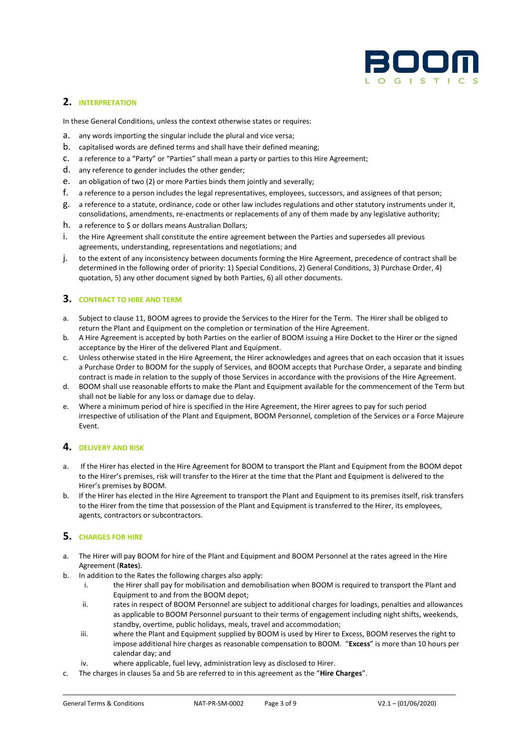

# **2. INTERPRETATION**

In these General Conditions, unless the context otherwise states or requires:

- a. any words importing the singular include the plural and vice versa;
- b. capitalised words are defined terms and shall have their defined meaning;
- c. a reference to a "Party" or "Parties" shall mean a party or parties to this Hire Agreement;
- d. any reference to gender includes the other gender;
- e. an obligation of two (2) or more Parties binds them jointly and severally;
- f. a reference to a person includes the legal representatives, employees, successors, and assignees of that person;
- g. a reference to a statute, ordinance, code or other law includes regulations and other statutory instruments under it, consolidations, amendments, re-enactments or replacements of any of them made by any legislative authority;
- h. a reference to \$ or dollars means Australian Dollars;
- i. the Hire Agreement shall constitute the entire agreement between the Parties and supersedes all previous agreements, understanding, representations and negotiations; and
- j. to the extent of any inconsistency between documents forming the Hire Agreement, precedence of contract shall be determined in the following order of priority: 1) Special Conditions, 2) General Conditions, 3) Purchase Order, 4) quotation, 5) any other document signed by both Parties, 6) all other documents.

## **3. CONTRACT TO HIRE AND TERM**

- a. Subject to clause 11, BOOM agrees to provide the Services to the Hirer for the Term. The Hirer shall be obliged to return the Plant and Equipment on the completion or termination of the Hire Agreement.
- b. A Hire Agreement is accepted by both Parties on the earlier of BOOM issuing a Hire Docket to the Hirer or the signed acceptance by the Hirer of the delivered Plant and Equipment.
- c. Unless otherwise stated in the Hire Agreement, the Hirer acknowledges and agrees that on each occasion that it issues a Purchase Order to BOOM for the supply of Services, and BOOM accepts that Purchase Order, a separate and binding contract is made in relation to the supply of those Services in accordance with the provisions of the Hire Agreement.
- d. BOOM shall use reasonable efforts to make the Plant and Equipment available for the commencement of the Term but shall not be liable for any loss or damage due to delay.
- e. Where a minimum period of hire is specified in the Hire Agreement, the Hirer agrees to pay for such period irrespective of utilisation of the Plant and Equipment, BOOM Personnel, completion of the Services or a Force Majeure Event.

## **4. DELIVERY AND RISK**

- a. If the Hirer has elected in the Hire Agreement for BOOM to transport the Plant and Equipment from the BOOM depot to the Hirer's premises, risk will transfer to the Hirer at the time that the Plant and Equipment is delivered to the Hirer's premises by BOOM.
- b. If the Hirer has elected in the Hire Agreement to transport the Plant and Equipment to its premises itself, risk transfers to the Hirer from the time that possession of the Plant and Equipment is transferred to the Hirer, its employees, agents, contractors or subcontractors.

## **5. CHARGES FOR HIRE**

- a. The Hirer will pay BOOM for hire of the Plant and Equipment and BOOM Personnel at the rates agreed in the Hire Agreement (**Rates**).
- b. In addition to the Rates the following charges also apply:
	- i. the Hirer shall pay for mobilisation and demobilisation when BOOM is required to transport the Plant and Equipment to and from the BOOM depot;
	- ii. rates in respect of BOOM Personnel are subject to additional charges for loadings, penalties and allowances as applicable to BOOM Personnel pursuant to their terms of engagement including night shifts, weekends, standby, overtime, public holidays, meals, travel and accommodation;
	- iii. where the Plant and Equipment supplied by BOOM is used by Hirer to Excess, BOOM reserves the right to impose additional hire charges as reasonable compensation to BOOM. "**Excess**" is more than 10 hours per calendar day; and
	- iv. where applicable, fuel levy, administration levy as disclosed to Hirer.
- c. The charges in clauses 5a and 5b are referred to in this agreement as the "**Hire Charges**".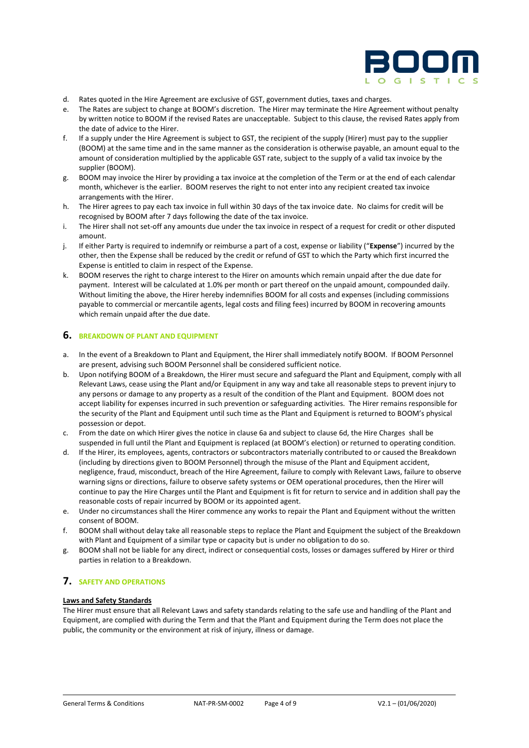

- d. Rates quoted in the Hire Agreement are exclusive of GST, government duties, taxes and charges.
- e. The Rates are subject to change at BOOM's discretion. The Hirer may terminate the Hire Agreement without penalty by written notice to BOOM if the revised Rates are unacceptable. Subject to this clause, the revised Rates apply from the date of advice to the Hirer.
- f. If a supply under the Hire Agreement is subject to GST, the recipient of the supply (Hirer) must pay to the supplier (BOOM) at the same time and in the same manner as the consideration is otherwise payable, an amount equal to the amount of consideration multiplied by the applicable GST rate, subject to the supply of a valid tax invoice by the supplier (BOOM).
- g. BOOM may invoice the Hirer by providing a tax invoice at the completion of the Term or at the end of each calendar month, whichever is the earlier. BOOM reserves the right to not enter into any recipient created tax invoice arrangements with the Hirer.
- h. The Hirer agrees to pay each tax invoice in full within 30 days of the tax invoice date. No claims for credit will be recognised by BOOM after 7 days following the date of the tax invoice.
- i. The Hirer shall not set-off any amounts due under the tax invoice in respect of a request for credit or other disputed amount.
- j. If either Party is required to indemnify or reimburse a part of a cost, expense or liability ("**Expense**") incurred by the other, then the Expense shall be reduced by the credit or refund of GST to which the Party which first incurred the Expense is entitled to claim in respect of the Expense.
- k. BOOM reserves the right to charge interest to the Hirer on amounts which remain unpaid after the due date for payment. Interest will be calculated at 1.0% per month or part thereof on the unpaid amount, compounded daily. Without limiting the above, the Hirer hereby indemnifies BOOM for all costs and expenses (including commissions payable to commercial or mercantile agents, legal costs and filing fees) incurred by BOOM in recovering amounts which remain unpaid after the due date.

### **6. BREAKDOWN OF PLANT AND EQUIPMENT**

- a. In the event of a Breakdown to Plant and Equipment, the Hirer shall immediately notify BOOM. If BOOM Personnel are present, advising such BOOM Personnel shall be considered sufficient notice.
- b. Upon notifying BOOM of a Breakdown, the Hirer must secure and safeguard the Plant and Equipment, comply with all Relevant Laws, cease using the Plant and/or Equipment in any way and take all reasonable steps to prevent injury to any persons or damage to any property as a result of the condition of the Plant and Equipment. BOOM does not accept liability for expenses incurred in such prevention or safeguarding activities. The Hirer remains responsible for the security of the Plant and Equipment until such time as the Plant and Equipment is returned to BOOM's physical possession or depot.
- c. From the date on which Hirer gives the notice in clause 6a and subject to clause 6d, the Hire Charges shall be suspended in full until the Plant and Equipment is replaced (at BOOM's election) or returned to operating condition.
- d. If the Hirer, its employees, agents, contractors or subcontractors materially contributed to or caused the Breakdown (including by directions given to BOOM Personnel) through the misuse of the Plant and Equipment accident, negligence, fraud, misconduct, breach of the Hire Agreement, failure to comply with Relevant Laws, failure to observe warning signs or directions, failure to observe safety systems or OEM operational procedures, then the Hirer will continue to pay the Hire Charges until the Plant and Equipment is fit for return to service and in addition shall pay the reasonable costs of repair incurred by BOOM or its appointed agent.
- e. Under no circumstances shall the Hirer commence any works to repair the Plant and Equipment without the written consent of BOOM.
- f. BOOM shall without delay take all reasonable steps to replace the Plant and Equipment the subject of the Breakdown with Plant and Equipment of a similar type or capacity but is under no obligation to do so.
- g. BOOM shall not be liable for any direct, indirect or consequential costs, losses or damages suffered by Hirer or third parties in relation to a Breakdown.

# **7. SAFETY AND OPERATIONS**

#### **Laws and Safety Standards**

The Hirer must ensure that all Relevant Laws and safety standards relating to the safe use and handling of the Plant and Equipment, are complied with during the Term and that the Plant and Equipment during the Term does not place the public, the community or the environment at risk of injury, illness or damage.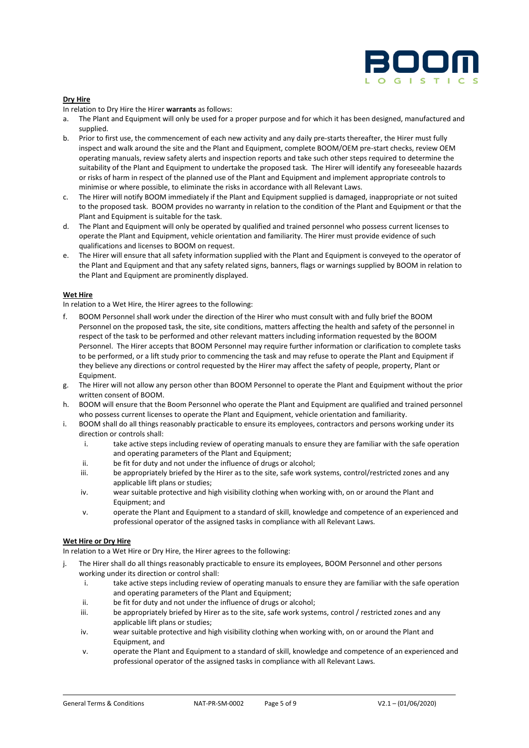

### **Dry Hire**

In relation to Dry Hire the Hirer **warrants** as follows:

- a. The Plant and Equipment will only be used for a proper purpose and for which it has been designed, manufactured and supplied.
- b. Prior to first use, the commencement of each new activity and any daily pre-starts thereafter, the Hirer must fully inspect and walk around the site and the Plant and Equipment, complete BOOM/OEM pre-start checks, review OEM operating manuals, review safety alerts and inspection reports and take such other steps required to determine the suitability of the Plant and Equipment to undertake the proposed task. The Hirer will identify any foreseeable hazards or risks of harm in respect of the planned use of the Plant and Equipment and implement appropriate controls to minimise or where possible, to eliminate the risks in accordance with all Relevant Laws.
- c. The Hirer will notify BOOM immediately if the Plant and Equipment supplied is damaged, inappropriate or not suited to the proposed task. BOOM provides no warranty in relation to the condition of the Plant and Equipment or that the Plant and Equipment is suitable for the task.
- d. The Plant and Equipment will only be operated by qualified and trained personnel who possess current licenses to operate the Plant and Equipment, vehicle orientation and familiarity. The Hirer must provide evidence of such qualifications and licenses to BOOM on request.
- e. The Hirer will ensure that all safety information supplied with the Plant and Equipment is conveyed to the operator of the Plant and Equipment and that any safety related signs, banners, flags or warnings supplied by BOOM in relation to the Plant and Equipment are prominently displayed.

#### **Wet Hire**

In relation to a Wet Hire, the Hirer agrees to the following:

- f. BOOM Personnel shall work under the direction of the Hirer who must consult with and fully brief the BOOM Personnel on the proposed task, the site, site conditions, matters affecting the health and safety of the personnel in respect of the task to be performed and other relevant matters including information requested by the BOOM Personnel. The Hirer accepts that BOOM Personnel may require further information or clarification to complete tasks to be performed, or a lift study prior to commencing the task and may refuse to operate the Plant and Equipment if they believe any directions or control requested by the Hirer may affect the safety of people, property, Plant or Equipment.
- g. The Hirer will not allow any person other than BOOM Personnel to operate the Plant and Equipment without the prior written consent of BOOM.
- h. BOOM will ensure that the Boom Personnel who operate the Plant and Equipment are qualified and trained personnel who possess current licenses to operate the Plant and Equipment, vehicle orientation and familiarity.
- i. BOOM shall do all things reasonably practicable to ensure its employees, contractors and persons working under its direction or controls shall:
	- i. take active steps including review of operating manuals to ensure they are familiar with the safe operation and operating parameters of the Plant and Equipment;
	- ii. be fit for duty and not under the influence of drugs or alcohol;
	- iii. be appropriately briefed by the Hirer as to the site, safe work systems, control/restricted zones and any applicable lift plans or studies;
	- iv. wear suitable protective and high visibility clothing when working with, on or around the Plant and Equipment; and
	- v. operate the Plant and Equipment to a standard of skill, knowledge and competence of an experienced and professional operator of the assigned tasks in compliance with all Relevant Laws.

#### **Wet Hire or Dry Hire**

In relation to a Wet Hire or Dry Hire, the Hirer agrees to the following:

- j. The Hirer shall do all things reasonably practicable to ensure its employees, BOOM Personnel and other persons working under its direction or control shall:
	- i. take active steps including review of operating manuals to ensure they are familiar with the safe operation and operating parameters of the Plant and Equipment;
	- ii. be fit for duty and not under the influence of drugs or alcohol;
	- iii. be appropriately briefed by Hirer as to the site, safe work systems, control / restricted zones and any applicable lift plans or studies;
	- iv. wear suitable protective and high visibility clothing when working with, on or around the Plant and Equipment, and
	- v. operate the Plant and Equipment to a standard of skill, knowledge and competence of an experienced and professional operator of the assigned tasks in compliance with all Relevant Laws.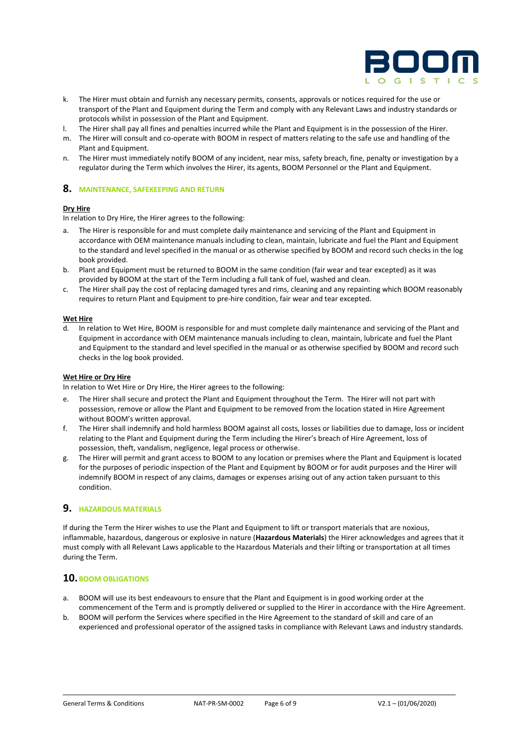

- k. The Hirer must obtain and furnish any necessary permits, consents, approvals or notices required for the use or transport of the Plant and Equipment during the Term and comply with any Relevant Laws and industry standards or protocols whilst in possession of the Plant and Equipment.
- l. The Hirer shall pay all fines and penalties incurred while the Plant and Equipment is in the possession of the Hirer.
- m. The Hirer will consult and co-operate with BOOM in respect of matters relating to the safe use and handling of the Plant and Equipment.
- n. The Hirer must immediately notify BOOM of any incident, near miss, safety breach, fine, penalty or investigation by a regulator during the Term which involves the Hirer, its agents, BOOM Personnel or the Plant and Equipment.

### **8. MAINTENANCE, SAFEKEEPING AND RETURN**

### **Dry Hire**

In relation to Dry Hire, the Hirer agrees to the following:

- a. The Hirer is responsible for and must complete daily maintenance and servicing of the Plant and Equipment in accordance with OEM maintenance manuals including to clean, maintain, lubricate and fuel the Plant and Equipment to the standard and level specified in the manual or as otherwise specified by BOOM and record such checks in the log book provided.
- b. Plant and Equipment must be returned to BOOM in the same condition (fair wear and tear excepted) as it was provided by BOOM at the start of the Term including a full tank of fuel, washed and clean.
- c. The Hirer shall pay the cost of replacing damaged tyres and rims, cleaning and any repainting which BOOM reasonably requires to return Plant and Equipment to pre-hire condition, fair wear and tear excepted.

#### **Wet Hire**

d. In relation to Wet Hire, BOOM is responsible for and must complete daily maintenance and servicing of the Plant and Equipment in accordance with OEM maintenance manuals including to clean, maintain, lubricate and fuel the Plant and Equipment to the standard and level specified in the manual or as otherwise specified by BOOM and record such checks in the log book provided.

#### **Wet Hire or Dry Hire**

In relation to Wet Hire or Dry Hire, the Hirer agrees to the following:

- e. The Hirer shall secure and protect the Plant and Equipment throughout the Term. The Hirer will not part with possession, remove or allow the Plant and Equipment to be removed from the location stated in Hire Agreement without BOOM's written approval.
- f. The Hirer shall indemnify and hold harmless BOOM against all costs, losses or liabilities due to damage, loss or incident relating to the Plant and Equipment during the Term including the Hirer's breach of Hire Agreement, loss of possession, theft, vandalism, negligence, legal process or otherwise.
- g. The Hirer will permit and grant access to BOOM to any location or premises where the Plant and Equipment is located for the purposes of periodic inspection of the Plant and Equipment by BOOM or for audit purposes and the Hirer will indemnify BOOM in respect of any claims, damages or expenses arising out of any action taken pursuant to this condition.

## **9. HAZARDOUS MATERIALS**

If during the Term the Hirer wishes to use the Plant and Equipment to lift or transport materials that are noxious, inflammable, hazardous, dangerous or explosive in nature (**Hazardous Materials**) the Hirer acknowledges and agrees that it must comply with all Relevant Laws applicable to the Hazardous Materials and their lifting or transportation at all times during the Term.

## **10.BOOM OBLIGATIONS**

- a. BOOM will use its best endeavours to ensure that the Plant and Equipment is in good working order at the commencement of the Term and is promptly delivered or supplied to the Hirer in accordance with the Hire Agreement.
- b. BOOM will perform the Services where specified in the Hire Agreement to the standard of skill and care of an experienced and professional operator of the assigned tasks in compliance with Relevant Laws and industry standards.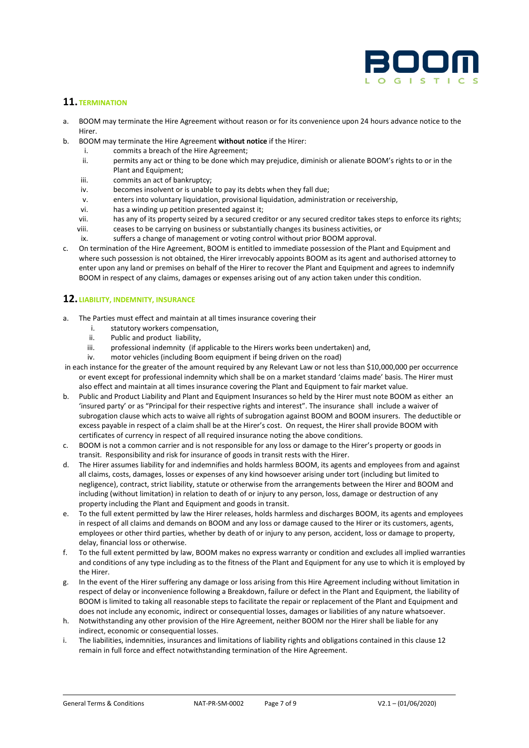

# **11. TERMINATION**

- a. BOOM may terminate the Hire Agreement without reason or for its convenience upon 24 hours advance notice to the Hirer.
- b. BOOM may terminate the Hire Agreement **without notice** if the Hirer:
	- i. commits a breach of the Hire Agreement;<br>ii. permits any act or thing to be done which
	- permits any act or thing to be done which may prejudice, diminish or alienate BOOM's rights to or in the Plant and Equipment;
	- iii. commits an act of bankruptcy;
	- iv. becomes insolvent or is unable to pay its debts when they fall due;
	- v. enters into voluntary liquidation, provisional liquidation, administration or receivership,
	- vi. has a winding up petition presented against it;
	- vii. has any of its property seized by a secured creditor or any secured creditor takes steps to enforce its rights;
	- viii. ceases to be carrying on business or substantially changes its business activities, or
- ix. suffers a change of management or voting control without prior BOOM approval. c. On termination of the Hire Agreement, BOOM is entitled to immediate possession of the Plant and Equipment and where such possession is not obtained, the Hirer irrevocably appoints BOOM as its agent and authorised attorney to enter upon any land or premises on behalf of the Hirer to recover the Plant and Equipment and agrees to indemnify BOOM in respect of any claims, damages or expenses arising out of any action taken under this condition.

## **12. LIABILITY, INDEMNITY, INSURANCE**

- a. The Parties must effect and maintain at all times insurance covering their
	- i. statutory workers compensation,
	- ii. Public and product liability,<br>iii professional indemnity (if a
	- professional indemnity (if applicable to the Hirers works been undertaken) and,
	- iv. motor vehicles (including Boom equipment if being driven on the road)
- in each instance for the greater of the amount required by any Relevant Law or not less than \$10,000,000 per occurrence or event except for professional indemnity which shall be on a market standard 'claims made' basis. The Hirer must also effect and maintain at all times insurance covering the Plant and Equipment to fair market value.
- b. Public and Product Liability and Plant and Equipment Insurances so held by the Hirer must note BOOM as either an 'insured party' or as "Principal for their respective rights and interest". The insurance shall include a waiver of subrogation clause which acts to waive all rights of subrogation against BOOM and BOOM insurers. The deductible or excess payable in respect of a claim shall be at the Hirer's cost. On request, the Hirer shall provide BOOM with certificates of currency in respect of all required insurance noting the above conditions.
- c. BOOM is not a common carrier and is not responsible for any loss or damage to the Hirer's property or goods in transit. Responsibility and risk for insurance of goods in transit rests with the Hirer.
- d. The Hirer assumes liability for and indemnifies and holds harmless BOOM, its agents and employees from and against all claims, costs, damages, losses or expenses of any kind howsoever arising under tort (including but limited to negligence), contract, strict liability, statute or otherwise from the arrangements between the Hirer and BOOM and including (without limitation) in relation to death of or injury to any person, loss, damage or destruction of any property including the Plant and Equipment and goods in transit.
- e. To the full extent permitted by law the Hirer releases, holds harmless and discharges BOOM, its agents and employees in respect of all claims and demands on BOOM and any loss or damage caused to the Hirer or its customers, agents, employees or other third parties, whether by death of or injury to any person, accident, loss or damage to property, delay, financial loss or otherwise.
- f. To the full extent permitted by law, BOOM makes no express warranty or condition and excludes all implied warranties and conditions of any type including as to the fitness of the Plant and Equipment for any use to which it is employed by the Hirer.
- g. In the event of the Hirer suffering any damage or loss arising from this Hire Agreement including without limitation in respect of delay or inconvenience following a Breakdown, failure or defect in the Plant and Equipment, the liability of BOOM is limited to taking all reasonable steps to facilitate the repair or replacement of the Plant and Equipment and does not include any economic, indirect or consequential losses, damages or liabilities of any nature whatsoever.
- h. Notwithstanding any other provision of the Hire Agreement, neither BOOM nor the Hirer shall be liable for any indirect, economic or consequential losses.
- i. The liabilities, indemnities, insurances and limitations of liability rights and obligations contained in this clause 12 remain in full force and effect notwithstanding termination of the Hire Agreement.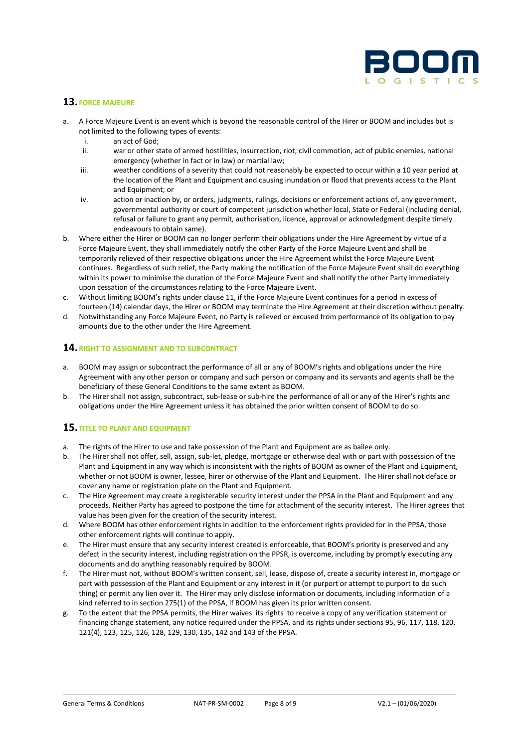

## **13. FORCE MAJEURE**

- a. A Force Majeure Event is an event which is beyond the reasonable control of the Hirer or BOOM and includes but is not limited to the following types of events:
	- i. an act of God;<br>ii. war or other st
	- war or other state of armed hostilities, insurrection, riot, civil commotion, act of public enemies, national emergency (whether in fact or in law) or martial law;
	- iii. weather conditions of a severity that could not reasonably be expected to occur within a 10 year period at the location of the Plant and Equipment and causing inundation or flood that prevents access to the Plant and Equipment; or
	- iv. action or inaction by, or orders, judgments, rulings, decisions or enforcement actions of, any government, governmental authority or court of competent jurisdiction whether local, State or Federal (including denial, refusal or failure to grant any permit, authorisation, licence, approval or acknowledgment despite timely endeavours to obtain same).
- b. Where either the Hirer or BOOM can no longer perform their obligations under the Hire Agreement by virtue of a Force Majeure Event, they shall immediately notify the other Party of the Force Majeure Event and shall be temporarily relieved of their respective obligations under the Hire Agreement whilst the Force Majeure Event continues. Regardless of such relief, the Party making the notification of the Force Majeure Event shall do everything within its power to minimise the duration of the Force Majeure Event and shall notify the other Party immediately upon cessation of the circumstances relating to the Force Majeure Event.
- c. Without limiting BOOM's rights under clause 11, if the Force Majeure Event continues for a period in excess of fourteen (14) calendar days, the Hirer or BOOM may terminate the Hire Agreement at their discretion without penalty.
- d. Notwithstanding any Force Majeure Event, no Party is relieved or excused from performance of its obligation to pay amounts due to the other under the Hire Agreement.

## **14.RIGHT TO ASSIGNMENT AND TO SUBCONTRACT**

- a. BOOM may assign or subcontract the performance of all or any of BOOM's rights and obligations under the Hire Agreement with any other person or company and such person or company and its servants and agents shall be the beneficiary of these General Conditions to the same extent as BOOM.
- b. The Hirer shall not assign, subcontract, sub-lease or sub-hire the performance of all or any of the Hirer's rights and obligations under the Hire Agreement unless it has obtained the prior written consent of BOOM to do so.

# **15. TITLE TO PLANT AND EQUIPMENT**

- a. The rights of the Hirer to use and take possession of the Plant and Equipment are as bailee only.
- b. The Hirer shall not offer, sell, assign, sub-let, pledge, mortgage or otherwise deal with or part with possession of the Plant and Equipment in any way which is inconsistent with the rights of BOOM as owner of the Plant and Equipment, whether or not BOOM is owner, lessee, hirer or otherwise of the Plant and Equipment. The Hirer shall not deface or cover any name or registration plate on the Plant and Equipment.
- c. The Hire Agreement may create a registerable security interest under the PPSA in the Plant and Equipment and any proceeds. Neither Party has agreed to postpone the time for attachment of the security interest. The Hirer agrees that value has been given for the creation of the security interest.
- d. Where BOOM has other enforcement rights in addition to the enforcement rights provided for in the PPSA, those other enforcement rights will continue to apply.
- e. The Hirer must ensure that any security interest created is enforceable, that BOOM's priority is preserved and any defect in the security interest, including registration on the PPSR, is overcome, including by promptly executing any documents and do anything reasonably required by BOOM.
- f. The Hirer must not, without BOOM's written consent, sell, lease, dispose of, create a security interest in, mortgage or part with possession of the Plant and Equipment or any interest in it (or purport or attempt to purport to do such thing) or permit any lien over it. The Hirer may only disclose information or documents, including information of a kind referred to in section 275(1) of the PPSA, if BOOM has given its prior written consent.
- g. To the extent that the PPSA permits, the Hirer waives its rights to receive a copy of any verification statement or financing change statement, any notice required under the PPSA, and its rights under sections 95, 96, 117, 118, 120, 121(4), 123, 125, 126, 128, 129, 130, 135, 142 and 143 of the PPSA.